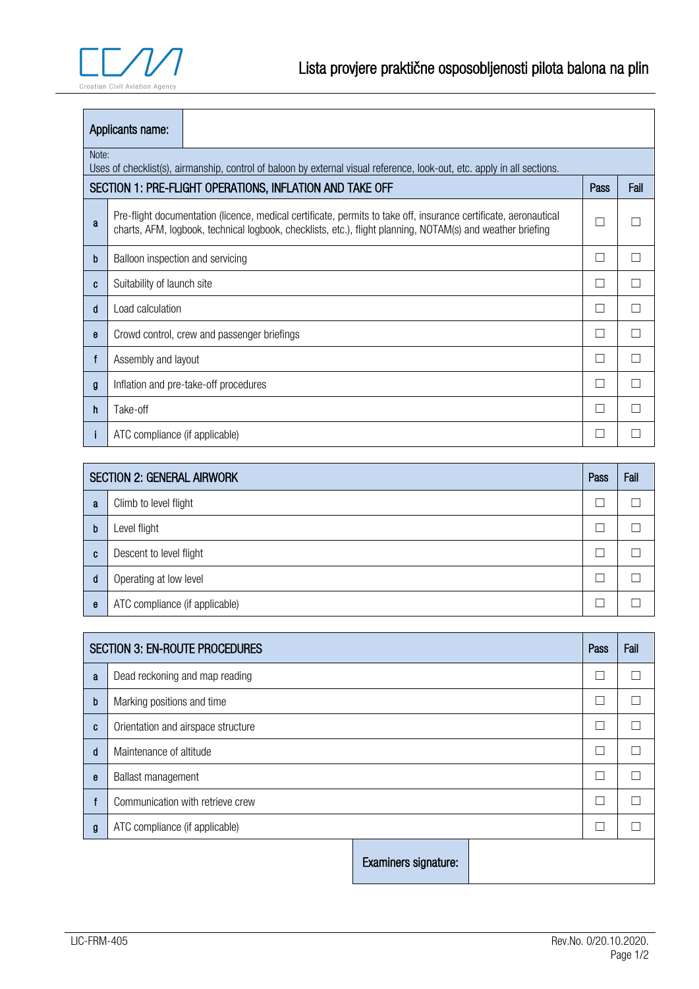

| Applicants name:                                                                                                                 |                                                                                                                                                                                                                                |                                       |             |      |
|----------------------------------------------------------------------------------------------------------------------------------|--------------------------------------------------------------------------------------------------------------------------------------------------------------------------------------------------------------------------------|---------------------------------------|-------------|------|
| Note:<br>Uses of checklist(s), airmanship, control of baloon by external visual reference, look-out, etc. apply in all sections. |                                                                                                                                                                                                                                |                                       |             |      |
| SECTION 1: PRE-FLIGHT OPERATIONS, INFLATION AND TAKE OFF                                                                         |                                                                                                                                                                                                                                |                                       | <b>Pass</b> | Fail |
| a                                                                                                                                | Pre-flight documentation (licence, medical certificate, permits to take off, insurance certificate, aeronautical<br>charts, AFM, logbook, technical logbook, checklists, etc.), flight planning, NOTAM(s) and weather briefing |                                       |             |      |
| b                                                                                                                                | Balloon inspection and servicing                                                                                                                                                                                               |                                       | П           |      |
| C                                                                                                                                | Suitability of launch site                                                                                                                                                                                                     |                                       | П           |      |
| d                                                                                                                                | Load calculation                                                                                                                                                                                                               |                                       | П           |      |
| e                                                                                                                                | Crowd control, crew and passenger briefings                                                                                                                                                                                    |                                       | П           |      |
| f                                                                                                                                | Assembly and layout                                                                                                                                                                                                            |                                       | П           |      |
| g                                                                                                                                |                                                                                                                                                                                                                                | Inflation and pre-take-off procedures | П           |      |
| h                                                                                                                                | Take-off                                                                                                                                                                                                                       |                                       | П           |      |
|                                                                                                                                  | ATC compliance (if applicable)                                                                                                                                                                                                 |                                       |             |      |

| <b>SECTION 2: GENERAL AIRWORK</b> |                                |  | Fail |
|-----------------------------------|--------------------------------|--|------|
| a                                 | Climb to level flight          |  |      |
| b                                 | Level flight                   |  |      |
| C                                 | Descent to level flight        |  |      |
| d                                 | Operating at low level         |  |      |
| e                                 | ATC compliance (if applicable) |  |      |

| <b>SECTION 3: EN-ROUTE PROCEDURES</b> |                                    |                             | Pass | Fail |  |
|---------------------------------------|------------------------------------|-----------------------------|------|------|--|
| a                                     | Dead reckoning and map reading     |                             |      | Ξ    |  |
| b                                     | Marking positions and time         |                             |      | π    |  |
| $\mathbf{C}$                          | Orientation and airspace structure |                             |      | π    |  |
| d                                     | Maintenance of altitude            |                             | ┓    |      |  |
| e                                     | <b>Ballast management</b>          |                             | ┓    |      |  |
|                                       | Communication with retrieve crew   |                             | π    |      |  |
| g                                     | ATC compliance (if applicable)     |                             | ×.   |      |  |
|                                       |                                    | <b>Examiners signature:</b> |      |      |  |